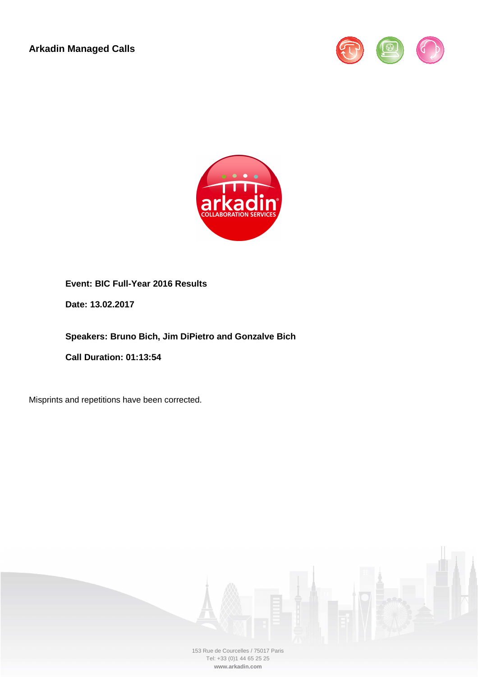**Arkadin Managed Calls** 





## **Event: BIC Full-Year 2016 Results**

**Date: 13.02.2017**

**Speakers: Bruno Bich, Jim DiPietro and Gonzalve Bich** 

**Call Duration: 01:13:54**

Misprints and repetitions have been corrected.

153 Rue de Courcelles / 75017 Paris Tel: +33 (0)1 44 65 25 25 **www.arkadin.com**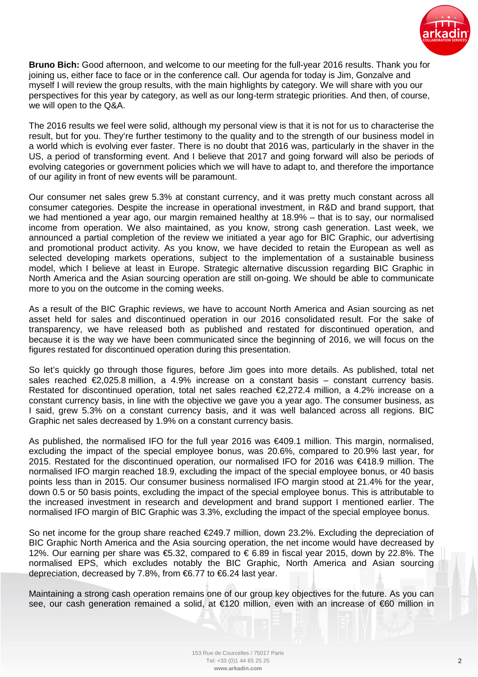

**Bruno Bich:** Good afternoon, and welcome to our meeting for the full-year 2016 results. Thank you for joining us, either face to face or in the conference call. Our agenda for today is Jim, Gonzalve and myself I will review the group results, with the main highlights by category. We will share with you our perspectives for this year by category, as well as our long-term strategic priorities. And then, of course, we will open to the Q&A.

The 2016 results we feel were solid, although my personal view is that it is not for us to characterise the result, but for you. They're further testimony to the quality and to the strength of our business model in a world which is evolving ever faster. There is no doubt that 2016 was, particularly in the shaver in the US, a period of transforming event. And I believe that 2017 and going forward will also be periods of evolving categories or government policies which we will have to adapt to, and therefore the importance of our agility in front of new events will be paramount.

Our consumer net sales grew 5.3% at constant currency, and it was pretty much constant across all consumer categories. Despite the increase in operational investment, in R&D and brand support, that we had mentioned a year ago, our margin remained healthy at 18.9% – that is to say, our normalised income from operation. We also maintained, as you know, strong cash generation. Last week, we announced a partial completion of the review we initiated a year ago for BIC Graphic, our advertising and promotional product activity. As you know, we have decided to retain the European as well as selected developing markets operations, subject to the implementation of a sustainable business model, which I believe at least in Europe. Strategic alternative discussion regarding BIC Graphic in North America and the Asian sourcing operation are still on-going. We should be able to communicate more to you on the outcome in the coming weeks.

As a result of the BIC Graphic reviews, we have to account North America and Asian sourcing as net asset held for sales and discontinued operation in our 2016 consolidated result. For the sake of transparency, we have released both as published and restated for discontinued operation, and because it is the way we have been communicated since the beginning of 2016, we will focus on the figures restated for discontinued operation during this presentation.

So let's quickly go through those figures, before Jim goes into more details. As published, total net sales reached  $\epsilon$ 2,025.8 million, a 4.9% increase on a constant basis – constant currency basis. Restated for discontinued operation, total net sales reached €2,272.4 million, a 4.2% increase on a constant currency basis, in line with the objective we gave you a year ago. The consumer business, as I said, grew 5.3% on a constant currency basis, and it was well balanced across all regions. BIC Graphic net sales decreased by 1.9% on a constant currency basis.

As published, the normalised IFO for the full year 2016 was €409.1 million. This margin, normalised, excluding the impact of the special employee bonus, was 20.6%, compared to 20.9% last year, for 2015. Restated for the discontinued operation, our normalised IFO for 2016 was €418.9 million. The normalised IFO margin reached 18.9, excluding the impact of the special employee bonus, or 40 basis points less than in 2015. Our consumer business normalised IFO margin stood at 21.4% for the year, down 0.5 or 50 basis points, excluding the impact of the special employee bonus. This is attributable to the increased investment in research and development and brand support I mentioned earlier. The normalised IFO margin of BIC Graphic was 3.3%, excluding the impact of the special employee bonus.

So net income for the group share reached €249.7 million, down 23.2%. Excluding the depreciation of BIC Graphic North America and the Asia sourcing operation, the net income would have decreased by 12%. Our earning per share was €5.32, compared to € 6.89 in fiscal year 2015, down by 22.8%. The normalised EPS, which excludes notably the BIC Graphic, North America and Asian sourcing depreciation, decreased by 7.8%, from €6.77 to €6.24 last year.

Maintaining a strong cash operation remains one of our group key objectives for the future. As you can see, our cash generation remained a solid, at €120 million, even with an increase of €60 million in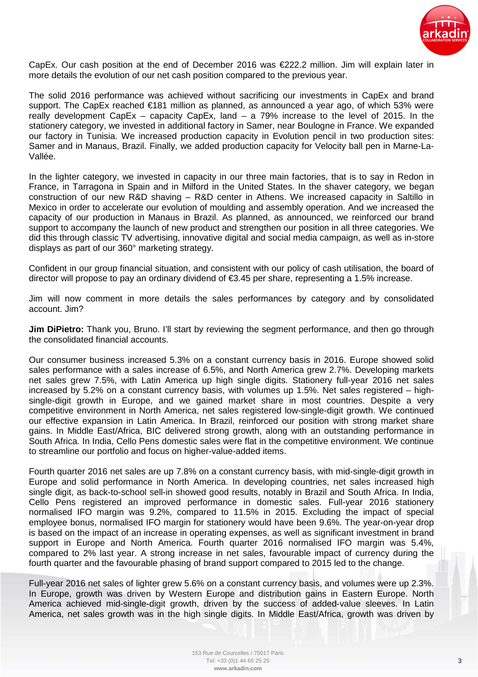

CapEx. Our cash position at the end of December 2016 was €222.2 million. Jim will explain later in more details the evolution of our net cash position compared to the previous year.

The solid 2016 performance was achieved without sacrificing our investments in CapEx and brand support. The CapEx reached €181 million as planned, as announced a year ago, of which 53% were really development CapEx – capacity CapEx, land – a 79% increase to the level of 2015. In the stationery category, we invested in additional factory in Samer, near Boulogne in France. We expanded our factory in Tunisia. We increased production capacity in Evolution pencil in two production sites: Samer and in Manaus, Brazil. Finally, we added production capacity for Velocity ball pen in Marne-La-Vallée.

In the lighter category, we invested in capacity in our three main factories, that is to say in Redon in France, in Tarragona in Spain and in Milford in the United States. In the shaver category, we began construction of our new R&D shaving – R&D center in Athens. We increased capacity in Saltillo in Mexico in order to accelerate our evolution of moulding and assembly operation. And we increased the capacity of our production in Manaus in Brazil. As planned, as announced, we reinforced our brand support to accompany the launch of new product and strengthen our position in all three categories. We did this through classic TV advertising, innovative digital and social media campaign, as well as in-store displays as part of our 360° marketing strategy.

Confident in our group financial situation, and consistent with our policy of cash utilisation, the board of director will propose to pay an ordinary dividend of €3.45 per share, representing a 1.5% increase.

Jim will now comment in more details the sales performances by category and by consolidated account. Jim?

**Jim DiPietro:** Thank you, Bruno. I'll start by reviewing the segment performance, and then go through the consolidated financial accounts.

Our consumer business increased 5.3% on a constant currency basis in 2016. Europe showed solid sales performance with a sales increase of 6.5%, and North America grew 2.7%. Developing markets net sales grew 7.5%, with Latin America up high single digits. Stationery full-year 2016 net sales increased by 5.2% on a constant currency basis, with volumes up 1.5%. Net sales registered – highsingle-digit growth in Europe, and we gained market share in most countries. Despite a very competitive environment in North America, net sales registered low-single-digit growth. We continued our effective expansion in Latin America. In Brazil, reinforced our position with strong market share gains. In Middle East/Africa, BIC delivered strong growth, along with an outstanding performance in South Africa. In India, Cello Pens domestic sales were flat in the competitive environment. We continue to streamline our portfolio and focus on higher-value-added items.

Fourth quarter 2016 net sales are up 7.8% on a constant currency basis, with mid-single-digit growth in Europe and solid performance in North America. In developing countries, net sales increased high single digit, as back-to-school sell-in showed good results, notably in Brazil and South Africa. In India, Cello Pens registered an improved performance in domestic sales. Full-year 2016 stationery normalised IFO margin was 9.2%, compared to 11.5% in 2015. Excluding the impact of special employee bonus, normalised IFO margin for stationery would have been 9.6%. The year-on-year drop is based on the impact of an increase in operating expenses, as well as significant investment in brand support in Europe and North America. Fourth quarter 2016 normalised IFO margin was 5.4%, compared to 2% last year. A strong increase in net sales, favourable impact of currency during the fourth quarter and the favourable phasing of brand support compared to 2015 led to the change.

Full-year 2016 net sales of lighter grew 5.6% on a constant currency basis, and volumes were up 2.3%. In Europe, growth was driven by Western Europe and distribution gains in Eastern Europe. North America achieved mid-single-digit growth, driven by the success of added-value sleeves. In Latin America, net sales growth was in the high single digits. In Middle East/Africa, growth was driven by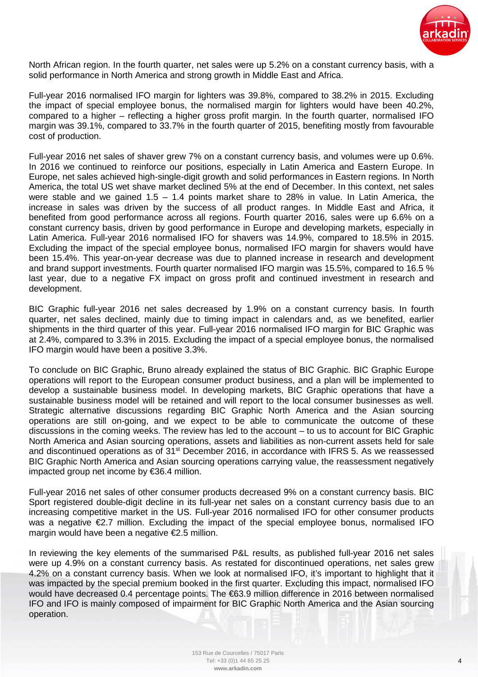

North African region. In the fourth quarter, net sales were up 5.2% on a constant currency basis, with a solid performance in North America and strong growth in Middle East and Africa.

Full-year 2016 normalised IFO margin for lighters was 39.8%, compared to 38.2% in 2015. Excluding the impact of special employee bonus, the normalised margin for lighters would have been 40.2%, compared to a higher – reflecting a higher gross profit margin. In the fourth quarter, normalised IFO margin was 39.1%, compared to 33.7% in the fourth quarter of 2015, benefiting mostly from favourable cost of production.

Full-year 2016 net sales of shaver grew 7% on a constant currency basis, and volumes were up 0.6%. In 2016 we continued to reinforce our positions, especially in Latin America and Eastern Europe. In Europe, net sales achieved high-single-digit growth and solid performances in Eastern regions. In North America, the total US wet shave market declined 5% at the end of December. In this context, net sales were stable and we gained  $1.5 - 1.4$  points market share to 28% in value. In Latin America, the increase in sales was driven by the success of all product ranges. In Middle East and Africa, it benefited from good performance across all regions. Fourth quarter 2016, sales were up 6.6% on a constant currency basis, driven by good performance in Europe and developing markets, especially in Latin America. Full-year 2016 normalised IFO for shavers was 14.9%, compared to 18.5% in 2015. Excluding the impact of the special employee bonus, normalised IFO margin for shavers would have been 15.4%. This year-on-year decrease was due to planned increase in research and development and brand support investments. Fourth quarter normalised IFO margin was 15.5%, compared to 16.5 % last year, due to a negative FX impact on gross profit and continued investment in research and development.

BIC Graphic full-year 2016 net sales decreased by 1.9% on a constant currency basis. In fourth quarter, net sales declined, mainly due to timing impact in calendars and, as we benefited, earlier shipments in the third quarter of this year. Full-year 2016 normalised IFO margin for BIC Graphic was at 2.4%, compared to 3.3% in 2015. Excluding the impact of a special employee bonus, the normalised IFO margin would have been a positive 3.3%.

To conclude on BIC Graphic, Bruno already explained the status of BIC Graphic. BIC Graphic Europe operations will report to the European consumer product business, and a plan will be implemented to develop a sustainable business model. In developing markets, BIC Graphic operations that have a sustainable business model will be retained and will report to the local consumer businesses as well. Strategic alternative discussions regarding BIC Graphic North America and the Asian sourcing operations are still on-going, and we expect to be able to communicate the outcome of these discussions in the coming weeks. The review has led to the account – to us to account for BIC Graphic North America and Asian sourcing operations, assets and liabilities as non-current assets held for sale and discontinued operations as of 31<sup>st</sup> December 2016, in accordance with IFRS 5. As we reassessed BIC Graphic North America and Asian sourcing operations carrying value, the reassessment negatively impacted group net income by €36.4 million.

Full-year 2016 net sales of other consumer products decreased 9% on a constant currency basis. BIC Sport registered double-digit decline in its full-year net sales on a constant currency basis due to an increasing competitive market in the US. Full-year 2016 normalised IFO for other consumer products was a negative €2.7 million. Excluding the impact of the special employee bonus, normalised IFO margin would have been a negative  $\epsilon$ 2.5 million.

In reviewing the key elements of the summarised P&L results, as published full-year 2016 net sales were up 4.9% on a constant currency basis. As restated for discontinued operations, net sales grew 4.2% on a constant currency basis. When we look at normalised IFO, it's important to highlight that it was impacted by the special premium booked in the first quarter. Excluding this impact, normalised IFO would have decreased 0.4 percentage points. The €63.9 million difference in 2016 between normalised IFO and IFO is mainly composed of impairment for BIC Graphic North America and the Asian sourcing operation.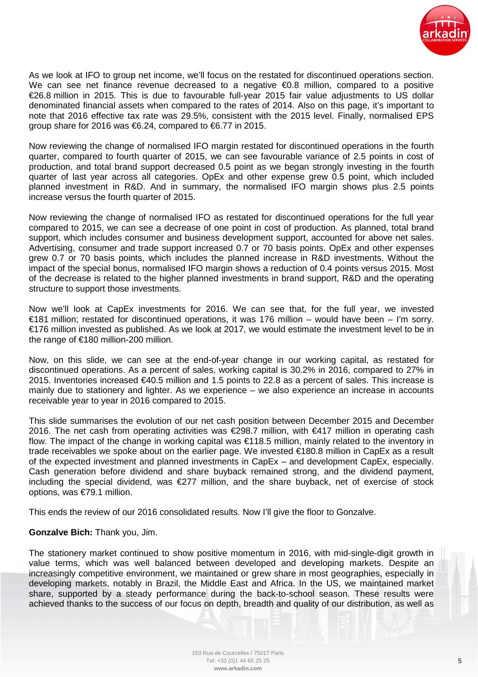

As we look at IFO to group net income, we'll focus on the restated for discontinued operations section. We can see net finance revenue decreased to a negative  $\epsilon$ 0.8 million, compared to a positive €26.8 million in 2015. This is due to favourable full-year 2015 fair value adjustments to US dollar denominated financial assets when compared to the rates of 2014. Also on this page, it's important to note that 2016 effective tax rate was 29.5%, consistent with the 2015 level. Finally, normalised EPS group share for 2016 was €6.24, compared to €6.77 h 2015.

Now reviewing the change of normalised IFO margin restated for discontinued operations in the fourth quarter, compared to fourth quarter of 2015, we can see favourable variance of 2.5 points in cost of production, and total brand support decreased 0.5 point as we began strongly investing in the fourth quarter of last year across all categories. OpEx and other expense grew 0.5 point, which included planned investment in R&D. And in summary, the normalised IFO margin shows plus 2.5 points increase versus the fourth quarter of 2015.

Now reviewing the change of normalised IFO as restated for discontinued operations for the full year compared to 2015, we can see a decrease of one point in cost of production. As planned, total brand support, which includes consumer and business development support, accounted for above net sales. Advertising, consumer and trade support increased 0.7 or 70 basis points. OpEx and other expenses grew 0.7 or 70 basis points, which includes the planned increase in R&D investments. Without the impact of the special bonus, normalised IFO margin shows a reduction of 0.4 points versus 2015. Most of the decrease is related to the higher planned investments in brand support, R&D and the operating structure to support those investments.

Now we'll look at CapEx investments for 2016. We can see that, for the full year, we invested €181 million; restated for discontinued operations, it was 176 million – would have been – I'm sorry. €176 million invested as published. As we look at 2017, we would estimate the investment level to be in the range of €180 million-200 million.

Now, on this slide, we can see at the end-of-year change in our working capital, as restated for discontinued operations. As a percent of sales, working capital is 30.2% in 2016, compared to 27% in 2015. Inventories increased €40.5 million and 1.5 points to 22.8 as a percent of sales. This increase is mainly due to stationery and lighter. As we experience – we also experience an increase in accounts receivable year to year in 2016 compared to 2015.

This slide summarises the evolution of our net cash position between December 2015 and December 2016. The net cash from operating activities was €298.7 million, with €417 million in operating cash flow. The impact of the change in working capital was €118.5 million, mainly related to the inventory in trade receivables we spoke about on the earlier page. We invested €180.8 million in CapEx as a result of the expected investment and planned investments in CapEx – and development CapEx, especially. Cash generation before dividend and share buyback remained strong, and the dividend payment, including the special dividend, was €277 million, and the share buyback, net of exercise of stock options, was €79.1 million.

This ends the review of our 2016 consolidated results. Now I'll give the floor to Gonzalve.

## **Gonzalve Bich:** Thank you, Jim.

The stationery market continued to show positive momentum in 2016, with mid-single-digit growth in value terms, which was well balanced between developed and developing markets. Despite an increasingly competitive environment, we maintained or grew share in most geographies, especially in developing markets, notably in Brazil, the Middle East and Africa. In the US, we maintained market share, supported by a steady performance during the back-to-school season. These results were achieved thanks to the success of our focus on depth, breadth and quality of our distribution, as well as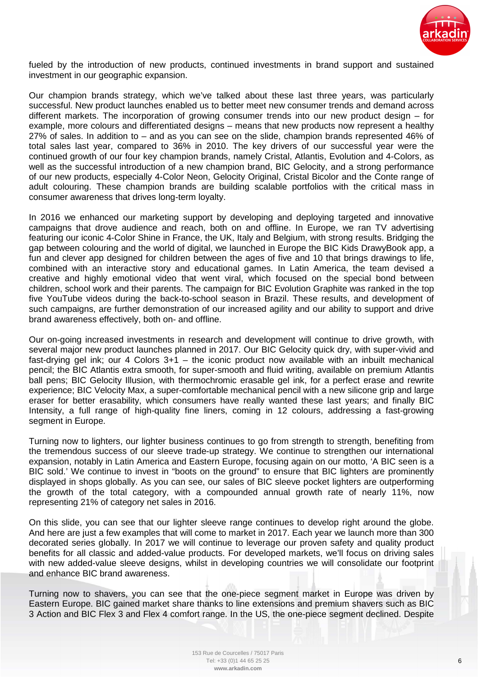

fueled by the introduction of new products, continued investments in brand support and sustained investment in our geographic expansion.

Our champion brands strategy, which we've talked about these last three years, was particularly successful. New product launches enabled us to better meet new consumer trends and demand across different markets. The incorporation of growing consumer trends into our new product design – for example, more colours and differentiated designs – means that new products now represent a healthy 27% of sales. In addition to – and as you can see on the slide, champion brands represented 46% of total sales last year, compared to 36% in 2010. The key drivers of our successful year were the continued growth of our four key champion brands, namely Cristal, Atlantis, Evolution and 4-Colors, as well as the successful introduction of a new champion brand, BIC Gelocity, and a strong performance of our new products, especially 4-Color Neon, Gelocity Original, Cristal Bicolor and the Conte range of adult colouring. These champion brands are building scalable portfolios with the critical mass in consumer awareness that drives long-term loyalty.

In 2016 we enhanced our marketing support by developing and deploying targeted and innovative campaigns that drove audience and reach, both on and offline. In Europe, we ran TV advertising featuring our iconic 4-Color Shine in France, the UK, Italy and Belgium, with strong results. Bridging the gap between colouring and the world of digital, we launched in Europe the BIC Kids DrawyBook app, a fun and clever app designed for children between the ages of five and 10 that brings drawings to life, combined with an interactive story and educational games. In Latin America, the team devised a creative and highly emotional video that went viral, which focused on the special bond between children, school work and their parents. The campaign for BIC Evolution Graphite was ranked in the top five YouTube videos during the back-to-school season in Brazil. These results, and development of such campaigns, are further demonstration of our increased agility and our ability to support and drive brand awareness effectively, both on- and offline.

Our on-going increased investments in research and development will continue to drive growth, with several major new product launches planned in 2017. Our BIC Gelocity quick dry, with super-vivid and fast-drying gel ink; our 4 Colors 3+1 – the iconic product now available with an inbuilt mechanical pencil; the BIC Atlantis extra smooth, for super-smooth and fluid writing, available on premium Atlantis ball pens; BIC Gelocity Illusion, with thermochromic erasable gel ink, for a perfect erase and rewrite experience; BIC Velocity Max, a super-comfortable mechanical pencil with a new silicone grip and large eraser for better erasability, which consumers have really wanted these last years; and finally BIC Intensity, a full range of high-quality fine liners, coming in 12 colours, addressing a fast-growing segment in Europe.

Turning now to lighters, our lighter business continues to go from strength to strength, benefiting from the tremendous success of our sleeve trade-up strategy. We continue to strengthen our international expansion, notably in Latin America and Eastern Europe, focusing again on our motto, 'A BIC seen is a BIC sold.' We continue to invest in "boots on the ground" to ensure that BIC lighters are prominently displayed in shops globally. As you can see, our sales of BIC sleeve pocket lighters are outperforming the growth of the total category, with a compounded annual growth rate of nearly 11%, now representing 21% of category net sales in 2016.

On this slide, you can see that our lighter sleeve range continues to develop right around the globe. And here are just a few examples that will come to market in 2017. Each year we launch more than 300 decorated series globally. In 2017 we will continue to leverage our proven safety and quality product benefits for all classic and added-value products. For developed markets, we'll focus on driving sales with new added-value sleeve designs, whilst in developing countries we will consolidate our footprint and enhance BIC brand awareness.

Turning now to shavers, you can see that the one-piece segment market in Europe was driven by Eastern Europe. BIC gained market share thanks to line extensions and premium shavers such as BIC 3 Action and BIC Flex 3 and Flex 4 comfort range. In the US, the one-piece segment declined. Despite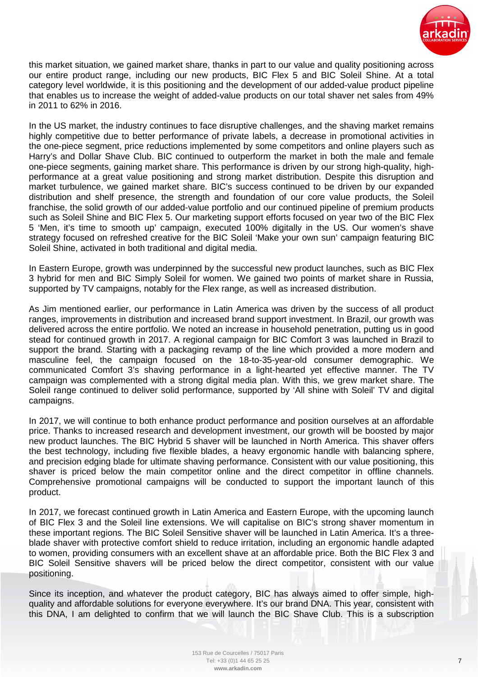

this market situation, we gained market share, thanks in part to our value and quality positioning across our entire product range, including our new products, BIC Flex 5 and BIC Soleil Shine. At a total category level worldwide, it is this positioning and the development of our added-value product pipeline that enables us to increase the weight of added-value products on our total shaver net sales from 49% in 2011 to 62% in 2016.

In the US market, the industry continues to face disruptive challenges, and the shaving market remains highly competitive due to better performance of private labels, a decrease in promotional activities in the one-piece segment, price reductions implemented by some competitors and online players such as Harry's and Dollar Shave Club. BIC continued to outperform the market in both the male and female one-piece segments, gaining market share. This performance is driven by our strong high-quality, highperformance at a great value positioning and strong market distribution. Despite this disruption and market turbulence, we gained market share. BIC's success continued to be driven by our expanded distribution and shelf presence, the strength and foundation of our core value products, the Soleil franchise, the solid growth of our added-value portfolio and our continued pipeline of premium products such as Soleil Shine and BIC Flex 5. Our marketing support efforts focused on year two of the BIC Flex 5 'Men, it's time to smooth up' campaign, executed 100% digitally in the US. Our women's shave strategy focused on refreshed creative for the BIC Soleil 'Make your own sun' campaign featuring BIC Soleil Shine, activated in both traditional and digital media.

In Eastern Europe, growth was underpinned by the successful new product launches, such as BIC Flex 3 hybrid for men and BIC Simply Soleil for women. We gained two points of market share in Russia, supported by TV campaigns, notably for the Flex range, as well as increased distribution.

As Jim mentioned earlier, our performance in Latin America was driven by the success of all product ranges, improvements in distribution and increased brand support investment. In Brazil, our growth was delivered across the entire portfolio. We noted an increase in household penetration, putting us in good stead for continued growth in 2017. A regional campaign for BIC Comfort 3 was launched in Brazil to support the brand. Starting with a packaging revamp of the line which provided a more modern and masculine feel, the campaign focused on the 18-to-35-year-old consumer demographic. We communicated Comfort 3's shaving performance in a light-hearted yet effective manner. The TV campaign was complemented with a strong digital media plan. With this, we grew market share. The Soleil range continued to deliver solid performance, supported by 'All shine with Soleil' TV and digital campaigns.

In 2017, we will continue to both enhance product performance and position ourselves at an affordable price. Thanks to increased research and development investment, our growth will be boosted by major new product launches. The BIC Hybrid 5 shaver will be launched in North America. This shaver offers the best technology, including five flexible blades, a heavy ergonomic handle with balancing sphere, and precision edging blade for ultimate shaving performance. Consistent with our value positioning, this shaver is priced below the main competitor online and the direct competitor in offline channels. Comprehensive promotional campaigns will be conducted to support the important launch of this product.

In 2017, we forecast continued growth in Latin America and Eastern Europe, with the upcoming launch of BIC Flex 3 and the Soleil line extensions. We will capitalise on BIC's strong shaver momentum in these important regions. The BIC Soleil Sensitive shaver will be launched in Latin America. It's a threeblade shaver with protective comfort shield to reduce irritation, including an ergonomic handle adapted to women, providing consumers with an excellent shave at an affordable price. Both the BIC Flex 3 and BIC Soleil Sensitive shavers will be priced below the direct competitor, consistent with our value positioning.

Since its inception, and whatever the product category, BIC has always aimed to offer simple, highquality and affordable solutions for everyone everywhere. It's our brand DNA. This year, consistent with this DNA, I am delighted to confirm that we will launch the BIC Shave Club. This is a subscription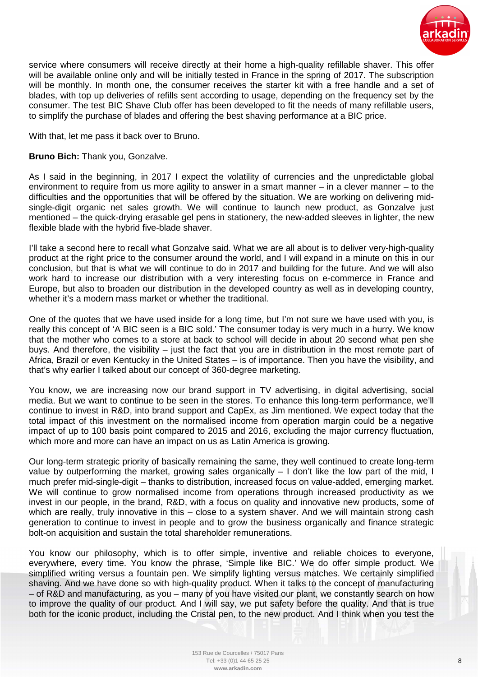

service where consumers will receive directly at their home a high-quality refillable shaver. This offer will be available online only and will be initially tested in France in the spring of 2017. The subscription will be monthly. In month one, the consumer receives the starter kit with a free handle and a set of blades, with top up deliveries of refills sent according to usage, depending on the frequency set by the consumer. The test BIC Shave Club offer has been developed to fit the needs of many refillable users, to simplify the purchase of blades and offering the best shaving performance at a BIC price.

With that, let me pass it back over to Bruno.

**Bruno Bich:** Thank you, Gonzalve.

As I said in the beginning, in 2017 I expect the volatility of currencies and the unpredictable global environment to require from us more agility to answer in a smart manner – in a clever manner – to the difficulties and the opportunities that will be offered by the situation. We are working on delivering midsingle-digit organic net sales growth. We will continue to launch new product, as Gonzalve just mentioned – the quick-drying erasable gel pens in stationery, the new-added sleeves in lighter, the new flexible blade with the hybrid five-blade shaver.

I'll take a second here to recall what Gonzalve said. What we are all about is to deliver very-high-quality product at the right price to the consumer around the world, and I will expand in a minute on this in our conclusion, but that is what we will continue to do in 2017 and building for the future. And we will also work hard to increase our distribution with a very interesting focus on e-commerce in France and Europe, but also to broaden our distribution in the developed country as well as in developing country, whether it's a modern mass market or whether the traditional.

One of the quotes that we have used inside for a long time, but I'm not sure we have used with you, is really this concept of 'A BIC seen is a BIC sold.' The consumer today is very much in a hurry. We know that the mother who comes to a store at back to school will decide in about 20 second what pen she buys. And therefore, the visibility – just the fact that you are in distribution in the most remote part of Africa, Brazil or even Kentucky in the United States – is of importance. Then you have the visibility, and that's why earlier I talked about our concept of 360-degree marketing.

You know, we are increasing now our brand support in TV advertising, in digital advertising, social media. But we want to continue to be seen in the stores. To enhance this long-term performance, we'll continue to invest in R&D, into brand support and CapEx, as Jim mentioned. We expect today that the total impact of this investment on the normalised income from operation margin could be a negative impact of up to 100 basis point compared to 2015 and 2016, excluding the major currency fluctuation, which more and more can have an impact on us as Latin America is growing.

Our long-term strategic priority of basically remaining the same, they well continued to create long-term value by outperforming the market, growing sales organically – I don't like the low part of the mid, I much prefer mid-single-digit – thanks to distribution, increased focus on value-added, emerging market. We will continue to grow normalised income from operations through increased productivity as we invest in our people, in the brand, R&D, with a focus on quality and innovative new products, some of which are really, truly innovative in this – close to a system shaver. And we will maintain strong cash generation to continue to invest in people and to grow the business organically and finance strategic bolt-on acquisition and sustain the total shareholder remunerations.

You know our philosophy, which is to offer simple, inventive and reliable choices to everyone, everywhere, every time. You know the phrase, 'Simple like BIC.' We do offer simple product. We simplified writing versus a fountain pen. We simplify lighting versus matches. We certainly simplified shaving. And we have done so with high-quality product. When it talks to the concept of manufacturing – of R&D and manufacturing, as you – many of you have visited our plant, we constantly search on how to improve the quality of our product. And I will say, we put safety before the quality. And that is true both for the iconic product, including the Cristal pen, to the new product. And I think when you test the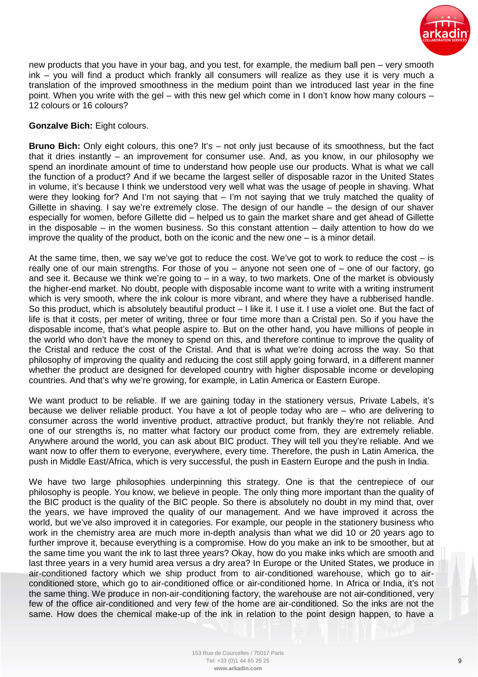

new products that you have in your bag, and you test, for example, the medium ball pen – very smooth ink – you will find a product which frankly all consumers will realize as they use it is very much a translation of the improved smoothness in the medium point than we introduced last year in the fine point. When you write with the gel – with this new gel which come in I don't know how many colours – 12 colours or 16 colours?

## **Gonzalve Bich:** Eight colours.

**Bruno Bich:** Only eight colours, this one? It's – not only just because of its smoothness, but the fact that it dries instantly – an improvement for consumer use. And, as you know, in our philosophy we spend an inordinate amount of time to understand how people use our products. What is what we call the function of a product? And if we became the largest seller of disposable razor in the United States in volume, it's because I think we understood very well what was the usage of people in shaving. What were they looking for? And I'm not saying that – I'm not saying that we truly matched the quality of Gillette in shaving. I say we're extremely close. The design of our handle – the design of our shaver especially for women, before Gillette did – helped us to gain the market share and get ahead of Gillette in the disposable – in the women business. So this constant attention – daily attention to how do we improve the quality of the product, both on the iconic and the new one – is a minor detail.

At the same time, then, we say we've got to reduce the cost. We've got to work to reduce the cost  $-$  is really one of our main strengths. For those of you – anyone not seen one of – one of our factory, go and see it. Because we think we're going to  $-$  in a way, to two markets. One of the market is obviously the higher-end market. No doubt, people with disposable income want to write with a writing instrument which is very smooth, where the ink colour is more vibrant, and where they have a rubberised handle. So this product, which is absolutely beautiful product – I like it. I use it. I use a violet one. But the fact of life is that it costs, per meter of writing, three or four time more than a Cristal pen. So if you have the disposable income, that's what people aspire to. But on the other hand, you have millions of people in the world who don't have the money to spend on this, and therefore continue to improve the quality of the Cristal and reduce the cost of the Cristal. And that is what we're doing across the way. So that philosophy of improving the quality and reducing the cost still apply going forward, in a different manner whether the product are designed for developed country with higher disposable income or developing countries. And that's why we're growing, for example, in Latin America or Eastern Europe.

We want product to be reliable. If we are gaining today in the stationery versus, Private Labels, it's because we deliver reliable product. You have a lot of people today who are – who are delivering to consumer across the world inventive product, attractive product, but frankly they're not reliable. And one of our strengths is, no matter what factory our product come from, they are extremely reliable. Anywhere around the world, you can ask about BIC product. They will tell you they're reliable. And we want now to offer them to everyone, everywhere, every time. Therefore, the push in Latin America, the push in Middle East/Africa, which is very successful, the push in Eastern Europe and the push in India.

We have two large philosophies underpinning this strategy. One is that the centrepiece of our philosophy is people. You know, we believe in people. The only thing more important than the quality of the BIC product is the quality of the BIC people. So there is absolutely no doubt in my mind that, over the years, we have improved the quality of our management. And we have improved it across the world, but we've also improved it in categories. For example, our people in the stationery business who work in the chemistry area are much more in-depth analysis than what we did 10 or 20 years ago to further improve it, because everything is a compromise. How do you make an ink to be smoother, but at the same time you want the ink to last three years? Okay, how do you make inks which are smooth and last three years in a very humid area versus a dry area? In Europe or the United States, we produce in air-conditioned factory which we ship product from to air-conditioned warehouse, which go to airconditioned store, which go to air-conditioned office or air-conditioned home. In Africa or India, it's not the same thing. We produce in non-air-conditioning factory, the warehouse are not air-conditioned, very few of the office air-conditioned and very few of the home are air-conditioned. So the inks are not the same. How does the chemical make-up of the ink in relation to the point design happen, to have a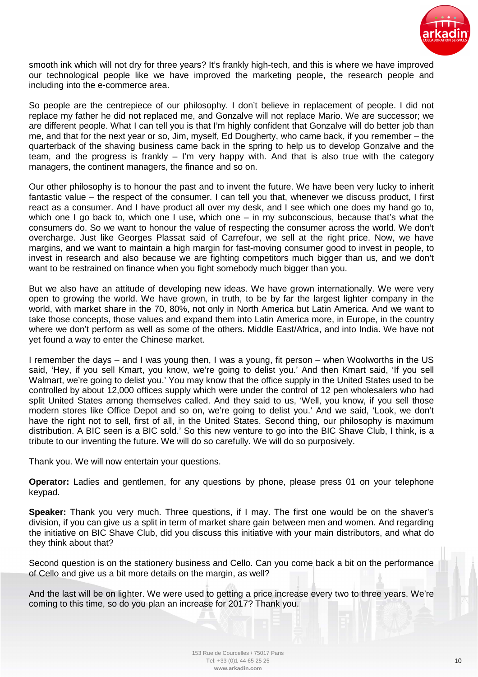

smooth ink which will not dry for three years? It's frankly high-tech, and this is where we have improved our technological people like we have improved the marketing people, the research people and including into the e-commerce area.

So people are the centrepiece of our philosophy. I don't believe in replacement of people. I did not replace my father he did not replaced me, and Gonzalve will not replace Mario. We are successor; we are different people. What I can tell you is that I'm highly confident that Gonzalve will do better job than me, and that for the next year or so, Jim, myself, Ed Dougherty, who came back, if you remember – the quarterback of the shaving business came back in the spring to help us to develop Gonzalve and the team, and the progress is frankly – I'm very happy with. And that is also true with the category managers, the continent managers, the finance and so on.

Our other philosophy is to honour the past and to invent the future. We have been very lucky to inherit fantastic value – the respect of the consumer. I can tell you that, whenever we discuss product, I first react as a consumer. And I have product all over my desk, and I see which one does my hand go to, which one I go back to, which one I use, which one – in my subconscious, because that's what the consumers do. So we want to honour the value of respecting the consumer across the world. We don't overcharge. Just like Georges Plassat said of Carrefour, we sell at the right price. Now, we have margins, and we want to maintain a high margin for fast-moving consumer good to invest in people, to invest in research and also because we are fighting competitors much bigger than us, and we don't want to be restrained on finance when you fight somebody much bigger than you.

But we also have an attitude of developing new ideas. We have grown internationally. We were very open to growing the world. We have grown, in truth, to be by far the largest lighter company in the world, with market share in the 70, 80%, not only in North America but Latin America. And we want to take those concepts, those values and expand them into Latin America more, in Europe, in the country where we don't perform as well as some of the others. Middle East/Africa, and into India. We have not yet found a way to enter the Chinese market.

I remember the days – and I was young then, I was a young, fit person – when Woolworths in the US said, 'Hey, if you sell Kmart, you know, we're going to delist you.' And then Kmart said, 'If you sell Walmart, we're going to delist you.' You may know that the office supply in the United States used to be controlled by about 12,000 offices supply which were under the control of 12 pen wholesalers who had split United States among themselves called. And they said to us, 'Well, you know, if you sell those modern stores like Office Depot and so on, we're going to delist you.' And we said, 'Look, we don't have the right not to sell, first of all, in the United States. Second thing, our philosophy is maximum distribution. A BIC seen is a BIC sold.' So this new venture to go into the BIC Shave Club, I think, is a tribute to our inventing the future. We will do so carefully. We will do so purposively.

Thank you. We will now entertain your questions.

**Operator:** Ladies and gentlemen, for any questions by phone, please press 01 on your telephone keypad.

**Speaker:** Thank you very much. Three questions, if I may. The first one would be on the shaver's division, if you can give us a split in term of market share gain between men and women. And regarding the initiative on BIC Shave Club, did you discuss this initiative with your main distributors, and what do they think about that?

Second question is on the stationery business and Cello. Can you come back a bit on the performance of Cello and give us a bit more details on the margin, as well?

And the last will be on lighter. We were used to getting a price increase every two to three years. We're coming to this time, so do you plan an increase for 2017? Thank you.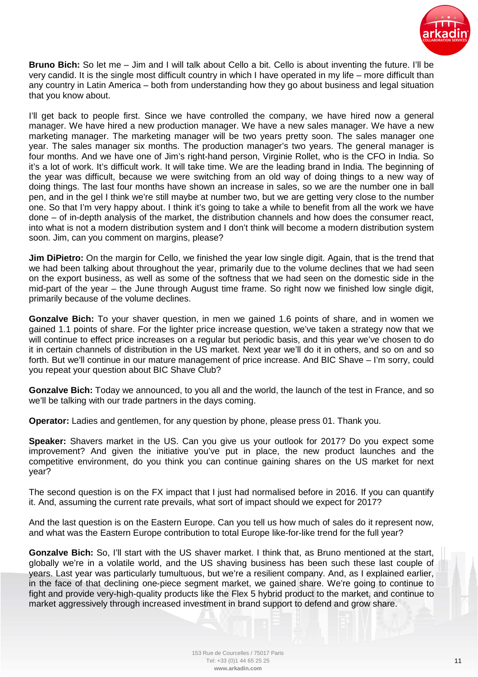

**Bruno Bich:** So let me – Jim and I will talk about Cello a bit. Cello is about inventing the future. I'll be very candid. It is the single most difficult country in which I have operated in my life – more difficult than any country in Latin America – both from understanding how they go about business and legal situation that you know about.

I'll get back to people first. Since we have controlled the company, we have hired now a general manager. We have hired a new production manager. We have a new sales manager. We have a new marketing manager. The marketing manager will be two years pretty soon. The sales manager one year. The sales manager six months. The production manager's two years. The general manager is four months. And we have one of Jim's right-hand person, Virginie Rollet, who is the CFO in India. So it's a lot of work. It's difficult work. It will take time. We are the leading brand in India. The beginning of the year was difficult, because we were switching from an old way of doing things to a new way of doing things. The last four months have shown an increase in sales, so we are the number one in ball pen, and in the gel I think we're still maybe at number two, but we are getting very close to the number one. So that I'm very happy about. I think it's going to take a while to benefit from all the work we have done – of in-depth analysis of the market, the distribution channels and how does the consumer react, into what is not a modern distribution system and I don't think will become a modern distribution system soon. Jim, can you comment on margins, please?

**Jim DiPietro:** On the margin for Cello, we finished the year low single digit. Again, that is the trend that we had been talking about throughout the year, primarily due to the volume declines that we had seen on the export business, as well as some of the softness that we had seen on the domestic side in the mid-part of the year – the June through August time frame. So right now we finished low single digit, primarily because of the volume declines.

**Gonzalve Bich:** To your shaver question, in men we gained 1.6 points of share, and in women we gained 1.1 points of share. For the lighter price increase question, we've taken a strategy now that we will continue to effect price increases on a regular but periodic basis, and this year we've chosen to do it in certain channels of distribution in the US market. Next year we'll do it in others, and so on and so forth. But we'll continue in our mature management of price increase. And BIC Shave – I'm sorry, could you repeat your question about BIC Shave Club?

**Gonzalve Bich:** Today we announced, to you all and the world, the launch of the test in France, and so we'll be talking with our trade partners in the days coming.

**Operator:** Ladies and gentlemen, for any question by phone, please press 01. Thank you.

**Speaker:** Shavers market in the US. Can you give us your outlook for 2017? Do you expect some improvement? And given the initiative you've put in place, the new product launches and the competitive environment, do you think you can continue gaining shares on the US market for next year?

The second question is on the FX impact that I just had normalised before in 2016. If you can quantify it. And, assuming the current rate prevails, what sort of impact should we expect for 2017?

And the last question is on the Eastern Europe. Can you tell us how much of sales do it represent now, and what was the Eastern Europe contribution to total Europe like-for-like trend for the full year?

**Gonzalve Bich:** So, I'll start with the US shaver market. I think that, as Bruno mentioned at the start, globally we're in a volatile world, and the US shaving business has been such these last couple of years. Last year was particularly tumultuous, but we're a resilient company. And, as I explained earlier, in the face of that declining one-piece segment market, we gained share. We're going to continue to fight and provide very-high-quality products like the Flex 5 hybrid product to the market, and continue to market aggressively through increased investment in brand support to defend and grow share.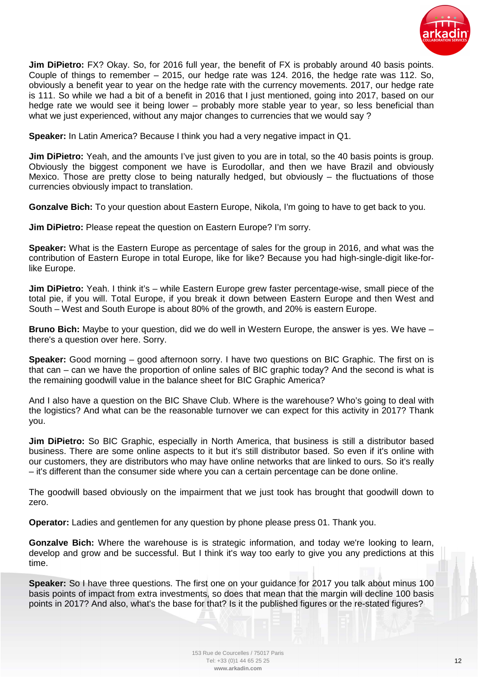

**Jim DiPietro:** FX? Okay. So, for 2016 full year, the benefit of FX is probably around 40 basis points. Couple of things to remember – 2015, our hedge rate was 124. 2016, the hedge rate was 112. So, obviously a benefit year to year on the hedge rate with the currency movements. 2017, our hedge rate is 111. So while we had a bit of a benefit in 2016 that I just mentioned, going into 2017, based on our hedge rate we would see it being lower – probably more stable year to year, so less beneficial than what we just experienced, without any major changes to currencies that we would say ?

**Speaker:** In Latin America? Because I think you had a very negative impact in Q1.

**Jim DiPietro:** Yeah, and the amounts I've just given to you are in total, so the 40 basis points is group. Obviously the biggest component we have is Eurodollar, and then we have Brazil and obviously Mexico. Those are pretty close to being naturally hedged, but obviously – the fluctuations of those currencies obviously impact to translation.

**Gonzalve Bich:** To your question about Eastern Europe, Nikola, I'm going to have to get back to you.

**Jim DiPietro:** Please repeat the question on Eastern Europe? I'm sorry.

**Speaker:** What is the Eastern Europe as percentage of sales for the group in 2016, and what was the contribution of Eastern Europe in total Europe, like for like? Because you had high-single-digit like-forlike Europe.

**Jim DiPietro:** Yeah. I think it's – while Eastern Europe grew faster percentage-wise, small piece of the total pie, if you will. Total Europe, if you break it down between Eastern Europe and then West and South – West and South Europe is about 80% of the growth, and 20% is eastern Europe.

**Bruno Bich:** Maybe to your question, did we do well in Western Europe, the answer is yes. We have – there's a question over here. Sorry.

**Speaker:** Good morning – good afternoon sorry. I have two questions on BIC Graphic. The first on is that can – can we have the proportion of online sales of BIC graphic today? And the second is what is the remaining goodwill value in the balance sheet for BIC Graphic America?

And I also have a question on the BIC Shave Club. Where is the warehouse? Who's going to deal with the logistics? And what can be the reasonable turnover we can expect for this activity in 2017? Thank you.

**Jim DiPietro:** So BIC Graphic, especially in North America, that business is still a distributor based business. There are some online aspects to it but it's still distributor based. So even if it's online with our customers, they are distributors who may have online networks that are linked to ours. So it's really – it's different than the consumer side where you can a certain percentage can be done online.

The goodwill based obviously on the impairment that we just took has brought that goodwill down to zero.

**Operator:** Ladies and gentlemen for any question by phone please press 01. Thank you.

**Gonzalve Bich:** Where the warehouse is is strategic information, and today we're looking to learn, develop and grow and be successful. But I think it's way too early to give you any predictions at this time.

**Speaker:** So I have three questions. The first one on your guidance for 2017 you talk about minus 100 basis points of impact from extra investments, so does that mean that the margin will decline 100 basis points in 2017? And also, what's the base for that? Is it the published figures or the re-stated figures?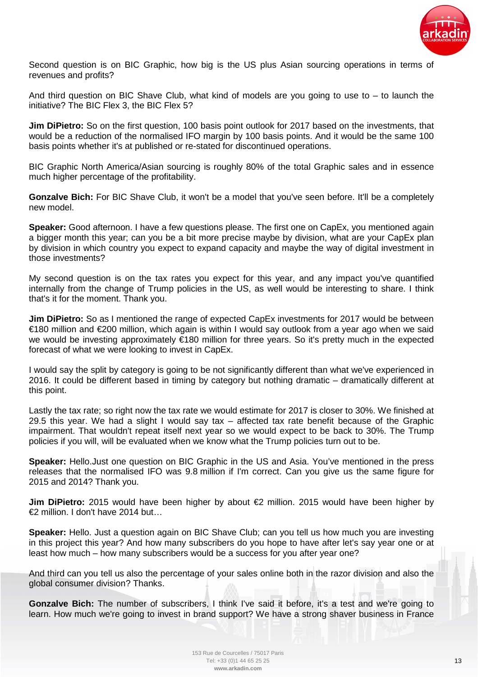

Second question is on BIC Graphic, how big is the US plus Asian sourcing operations in terms of revenues and profits?

And third question on BIC Shave Club, what kind of models are you going to use to  $-$  to launch the initiative? The BIC Flex 3, the BIC Flex 5?

**Jim DiPietro:** So on the first question, 100 basis point outlook for 2017 based on the investments, that would be a reduction of the normalised IFO margin by 100 basis points. And it would be the same 100 basis points whether it's at published or re-stated for discontinued operations.

BIC Graphic North America/Asian sourcing is roughly 80% of the total Graphic sales and in essence much higher percentage of the profitability.

**Gonzalve Bich:** For BIC Shave Club, it won't be a model that you've seen before. It'll be a completely new model.

**Speaker:** Good afternoon. I have a few questions please. The first one on CapEx, you mentioned again a bigger month this year; can you be a bit more precise maybe by division, what are your CapEx plan by division in which country you expect to expand capacity and maybe the way of digital investment in those investments?

My second question is on the tax rates you expect for this year, and any impact you've quantified internally from the change of Trump policies in the US, as well would be interesting to share. I think that's it for the moment. Thank you.

**Jim DiPietro:** So as I mentioned the range of expected CapEx investments for 2017 would be between €180 million and €200 million, which again is within I would say outlook from a year ago when we said we would be investing approximately €180 million for three years. So it's pretty much in the expected forecast of what we were looking to invest in CapEx.

I would say the split by category is going to be not significantly different than what we've experienced in 2016. It could be different based in timing by category but nothing dramatic – dramatically different at this point.

Lastly the tax rate: so right now the tax rate we would estimate for 2017 is closer to 30%. We finished at 29.5 this year. We had a slight I would say tax – affected tax rate benefit because of the Graphic impairment. That wouldn't repeat itself next year so we would expect to be back to 30%. The Trump policies if you will, will be evaluated when we know what the Trump policies turn out to be.

**Speaker:** Hello.Just one question on BIC Graphic in the US and Asia. You've mentioned in the press releases that the normalised IFO was 9.8 million if I'm correct. Can you give us the same figure for 2015 and 2014? Thank you.

**Jim DiPietro:** 2015 would have been higher by about €2 million. 2015 would have been higher by €2 million. I don't have 2014 but…

**Speaker:** Hello. Just a question again on BIC Shave Club; can you tell us how much you are investing in this project this year? And how many subscribers do you hope to have after let's say year one or at least how much – how many subscribers would be a success for you after year one?

And third can you tell us also the percentage of your sales online both in the razor division and also the global consumer division? Thanks.

**Gonzalve Bich:** The number of subscribers, I think I've said it before, it's a test and we're going to learn. How much we're going to invest in brand support? We have a strong shaver business in France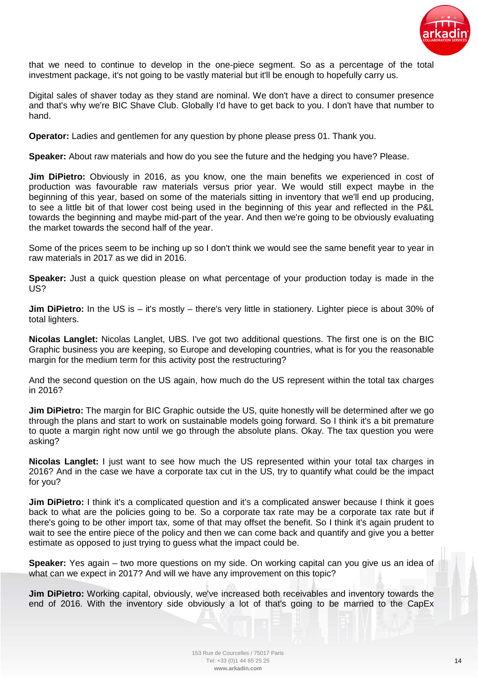

that we need to continue to develop in the one-piece segment. So as a percentage of the total investment package, it's not going to be vastly material but it'll be enough to hopefully carry us.

Digital sales of shaver today as they stand are nominal. We don't have a direct to consumer presence and that's why we're BIC Shave Club. Globally I'd have to get back to you. I don't have that number to hand.

**Operator:** Ladies and gentlemen for any question by phone please press 01. Thank you.

**Speaker:** About raw materials and how do you see the future and the hedging you have? Please.

**Jim DiPietro:** Obviously in 2016, as you know, one the main benefits we experienced in cost of production was favourable raw materials versus prior year. We would still expect maybe in the beginning of this year, based on some of the materials sitting in inventory that we'll end up producing, to see a little bit of that lower cost being used in the beginning of this year and reflected in the P&L towards the beginning and maybe mid-part of the year. And then we're going to be obviously evaluating the market towards the second half of the year.

Some of the prices seem to be inching up so I don't think we would see the same benefit year to year in raw materials in 2017 as we did in 2016.

**Speaker:** Just a quick question please on what percentage of your production today is made in the US?

**Jim DiPietro:** In the US is – it's mostly – there's very little in stationery. Lighter piece is about 30% of total lighters.

**Nicolas Langlet:** Nicolas Langlet, UBS. I've got two additional questions. The first one is on the BIC Graphic business you are keeping, so Europe and developing countries, what is for you the reasonable margin for the medium term for this activity post the restructuring?

And the second question on the US again, how much do the US represent within the total tax charges in 2016?

**Jim DiPietro:** The margin for BIC Graphic outside the US, quite honestly will be determined after we go through the plans and start to work on sustainable models going forward. So I think it's a bit premature to quote a margin right now until we go through the absolute plans. Okay. The tax question you were asking?

**Nicolas Langlet:** I just want to see how much the US represented within your total tax charges in 2016? And in the case we have a corporate tax cut in the US, try to quantify what could be the impact for you?

**Jim DiPietro:** I think it's a complicated question and it's a complicated answer because I think it goes back to what are the policies going to be. So a corporate tax rate may be a corporate tax rate but if there's going to be other import tax, some of that may offset the benefit. So I think it's again prudent to wait to see the entire piece of the policy and then we can come back and quantify and give you a better estimate as opposed to just trying to guess what the impact could be.

**Speaker:** Yes again – two more questions on my side. On working capital can you give us an idea of what can we expect in 2017? And will we have any improvement on this topic?

**Jim DiPietro:** Working capital, obviously, we've increased both receivables and inventory towards the end of 2016. With the inventory side obviously a lot of that's going to be married to the CapEx